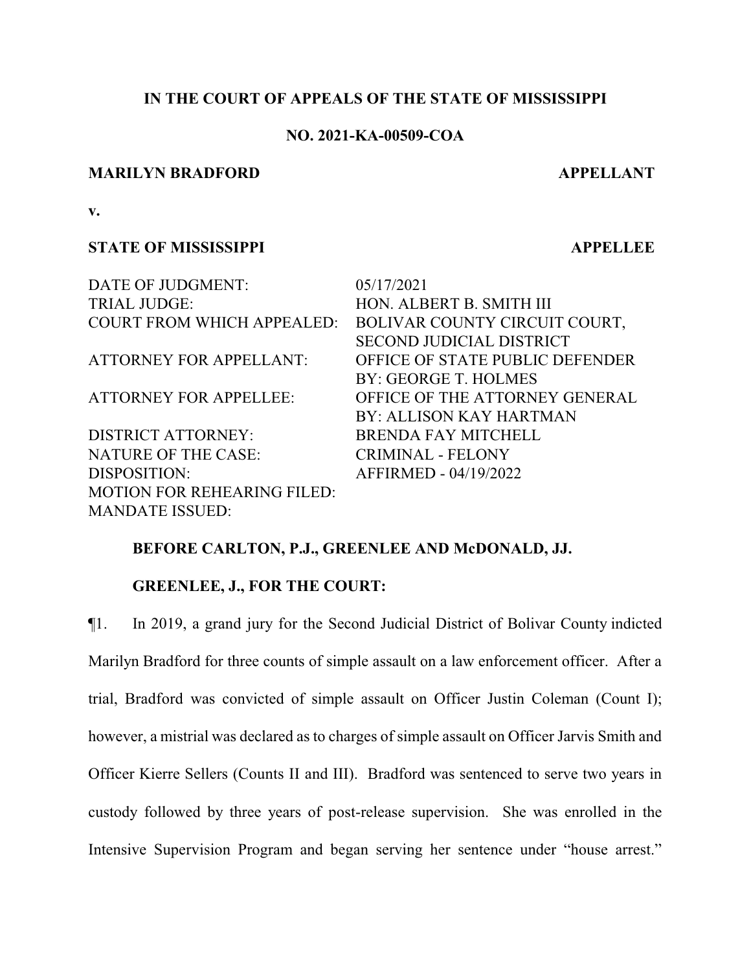## **IN THE COURT OF APPEALS OF THE STATE OF MISSISSIPPI**

# **NO. 2021-KA-00509-COA**

### **MARILYN BRADFORD APPELLANT**

**v.**

## **STATE OF MISSISSIPPI APPELLEE**

DATE OF JUDGMENT: 05/17/2021 TRIAL JUDGE: HON. ALBERT B. SMITH III

DISTRICT ATTORNEY: BRENDA FAY MITCHELL NATURE OF THE CASE: CRIMINAL - FELONY DISPOSITION: AFFIRMED - 04/19/2022 MOTION FOR REHEARING FILED: MANDATE ISSUED:

COURT FROM WHICH APPEALED: BOLIVAR COUNTY CIRCUIT COURT, SECOND JUDICIAL DISTRICT ATTORNEY FOR APPELLANT: OFFICE OF STATE PUBLIC DEFENDER BY: GEORGE T. HOLMES ATTORNEY FOR APPELLEE: OFFICE OF THE ATTORNEY GENERAL BY: ALLISON KAY HARTMAN

## **BEFORE CARLTON, P.J., GREENLEE AND McDONALD, JJ.**

## **GREENLEE, J., FOR THE COURT:**

¶1. In 2019, a grand jury for the Second Judicial District of Bolivar County indicted Marilyn Bradford for three counts of simple assault on a law enforcement officer. After a trial, Bradford was convicted of simple assault on Officer Justin Coleman (Count I); however, a mistrial was declared as to charges of simple assault on Officer Jarvis Smith and Officer Kierre Sellers (Counts II and III). Bradford was sentenced to serve two years in custody followed by three years of post-release supervision. She was enrolled in the Intensive Supervision Program and began serving her sentence under "house arrest."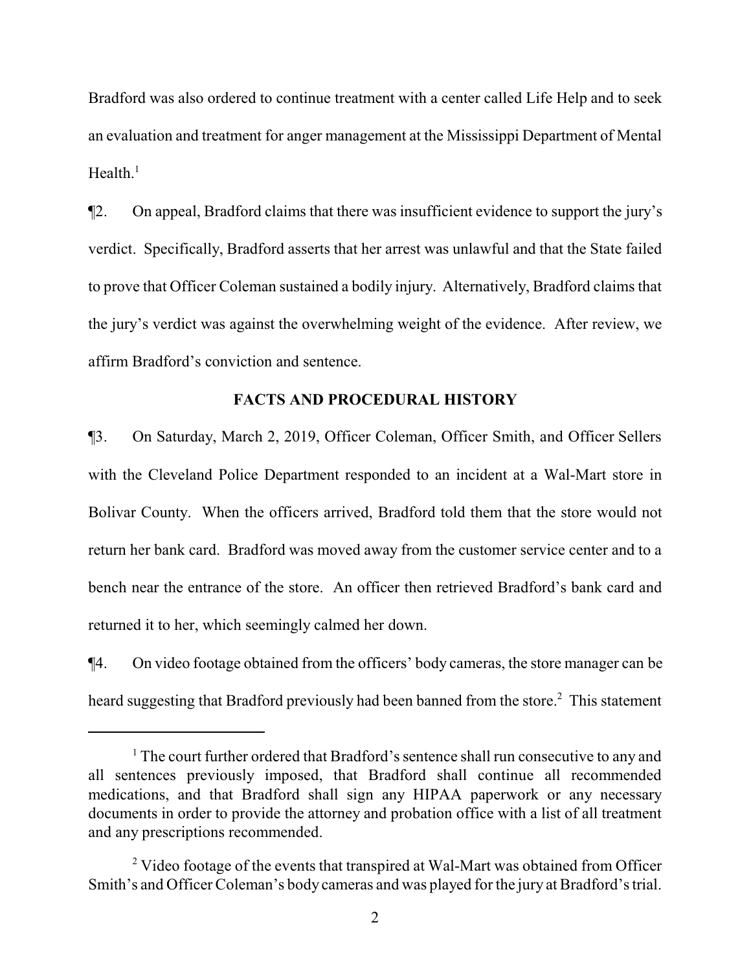Bradford was also ordered to continue treatment with a center called Life Help and to seek an evaluation and treatment for anger management at the Mississippi Department of Mental Health. $^1$ 

¶2. On appeal, Bradford claims that there was insufficient evidence to support the jury's verdict. Specifically, Bradford asserts that her arrest was unlawful and that the State failed to prove that Officer Coleman sustained a bodily injury. Alternatively, Bradford claims that the jury's verdict was against the overwhelming weight of the evidence. After review, we affirm Bradford's conviction and sentence.

#### **FACTS AND PROCEDURAL HISTORY**

¶3. On Saturday, March 2, 2019, Officer Coleman, Officer Smith, and Officer Sellers with the Cleveland Police Department responded to an incident at a Wal-Mart store in Bolivar County. When the officers arrived, Bradford told them that the store would not return her bank card. Bradford was moved away from the customer service center and to a bench near the entrance of the store. An officer then retrieved Bradford's bank card and returned it to her, which seemingly calmed her down.

¶4. On video footage obtained from the officers' body cameras, the store manager can be heard suggesting that Bradford previously had been banned from the store.<sup>2</sup> This statement

<sup>&</sup>lt;sup>1</sup> The court further ordered that Bradford's sentence shall run consecutive to any and all sentences previously imposed, that Bradford shall continue all recommended medications, and that Bradford shall sign any HIPAA paperwork or any necessary documents in order to provide the attorney and probation office with a list of all treatment and any prescriptions recommended.

<sup>&</sup>lt;sup>2</sup> Video footage of the events that transpired at Wal-Mart was obtained from Officer Smith's and Officer Coleman's body cameras and was played for the jury at Bradford's trial.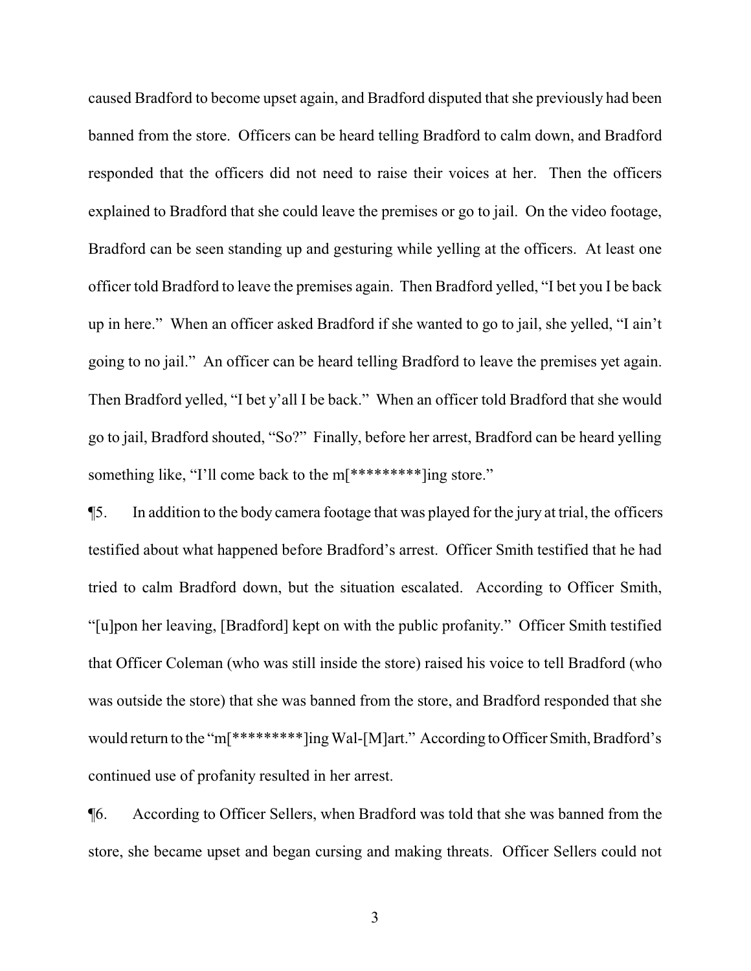caused Bradford to become upset again, and Bradford disputed that she previously had been banned from the store. Officers can be heard telling Bradford to calm down, and Bradford responded that the officers did not need to raise their voices at her. Then the officers explained to Bradford that she could leave the premises or go to jail. On the video footage, Bradford can be seen standing up and gesturing while yelling at the officers. At least one officer told Bradford to leave the premises again. Then Bradford yelled, "I bet you I be back up in here." When an officer asked Bradford if she wanted to go to jail, she yelled, "I ain't going to no jail." An officer can be heard telling Bradford to leave the premises yet again. Then Bradford yelled, "I bet y'all I be back." When an officer told Bradford that she would go to jail, Bradford shouted, "So?" Finally, before her arrest, Bradford can be heard yelling something like, "I'll come back to the m[\*\*\*\*\*\*\*\*\*\*]ing store."

¶5. In addition to the body camera footage that was played for the jury at trial, the officers testified about what happened before Bradford's arrest. Officer Smith testified that he had tried to calm Bradford down, but the situation escalated. According to Officer Smith, "[u]pon her leaving, [Bradford] kept on with the public profanity." Officer Smith testified that Officer Coleman (who was still inside the store) raised his voice to tell Bradford (who was outside the store) that she was banned from the store, and Bradford responded that she would return to the "m[\*\*\*\*\*\*\*\*\*\*]ing Wal-[M]art." According to Officer Smith, Bradford's continued use of profanity resulted in her arrest.

¶6. According to Officer Sellers, when Bradford was told that she was banned from the store, she became upset and began cursing and making threats. Officer Sellers could not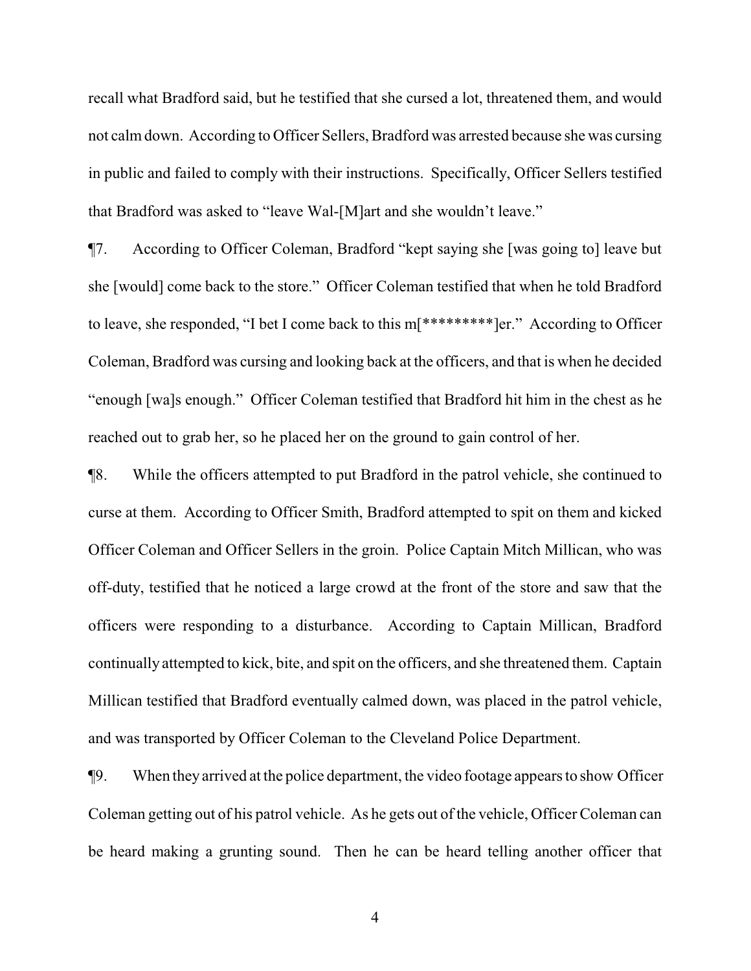recall what Bradford said, but he testified that she cursed a lot, threatened them, and would not calmdown. According to Officer Sellers, Bradford was arrested because she was cursing in public and failed to comply with their instructions. Specifically, Officer Sellers testified that Bradford was asked to "leave Wal-[M]art and she wouldn't leave."

¶7. According to Officer Coleman, Bradford "kept saying she [was going to] leave but she [would] come back to the store." Officer Coleman testified that when he told Bradford to leave, she responded, "I bet I come back to this m[\*\*\*\*\*\*\*\*\*]er." According to Officer Coleman, Bradford was cursing and looking back at the officers, and that is when he decided "enough [wa]s enough." Officer Coleman testified that Bradford hit him in the chest as he reached out to grab her, so he placed her on the ground to gain control of her.

¶8. While the officers attempted to put Bradford in the patrol vehicle, she continued to curse at them. According to Officer Smith, Bradford attempted to spit on them and kicked Officer Coleman and Officer Sellers in the groin. Police Captain Mitch Millican, who was off-duty, testified that he noticed a large crowd at the front of the store and saw that the officers were responding to a disturbance. According to Captain Millican, Bradford continually attempted to kick, bite, and spit on the officers, and she threatened them. Captain Millican testified that Bradford eventually calmed down, was placed in the patrol vehicle, and was transported by Officer Coleman to the Cleveland Police Department.

¶9. When they arrived at the police department, the video footage appears to show Officer Coleman getting out of his patrol vehicle. As he gets out of the vehicle, Officer Coleman can be heard making a grunting sound. Then he can be heard telling another officer that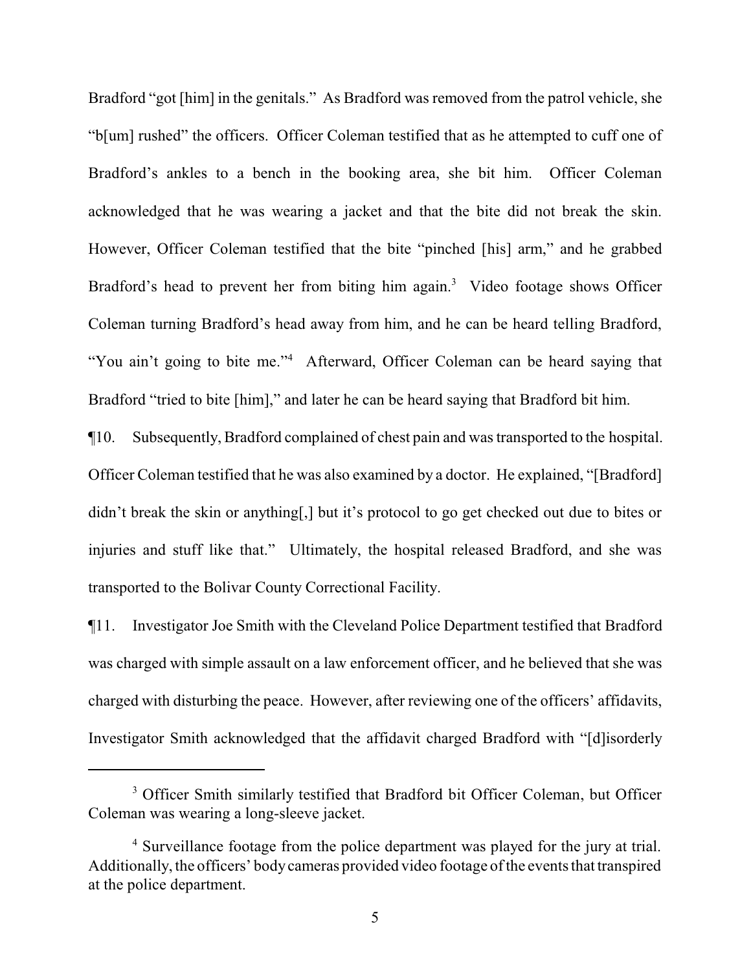Bradford "got [him] in the genitals." As Bradford was removed from the patrol vehicle, she "b[um] rushed" the officers. Officer Coleman testified that as he attempted to cuff one of Bradford's ankles to a bench in the booking area, she bit him. Officer Coleman acknowledged that he was wearing a jacket and that the bite did not break the skin. However, Officer Coleman testified that the bite "pinched [his] arm," and he grabbed Bradford's head to prevent her from biting him again.<sup>3</sup> Video footage shows Officer Coleman turning Bradford's head away from him, and he can be heard telling Bradford, "You ain't going to bite me."<sup>4</sup> Afterward, Officer Coleman can be heard saying that Bradford "tried to bite [him]," and later he can be heard saying that Bradford bit him.

¶10. Subsequently, Bradford complained of chest pain and was transported to the hospital. Officer Coleman testified that he was also examined by a doctor. He explained, "[Bradford] didn't break the skin or anything[,] but it's protocol to go get checked out due to bites or injuries and stuff like that." Ultimately, the hospital released Bradford, and she was transported to the Bolivar County Correctional Facility.

¶11. Investigator Joe Smith with the Cleveland Police Department testified that Bradford was charged with simple assault on a law enforcement officer, and he believed that she was charged with disturbing the peace. However, after reviewing one of the officers' affidavits, Investigator Smith acknowledged that the affidavit charged Bradford with "[d]isorderly

<sup>&</sup>lt;sup>3</sup> Officer Smith similarly testified that Bradford bit Officer Coleman, but Officer Coleman was wearing a long-sleeve jacket.

<sup>&</sup>lt;sup>4</sup> Surveillance footage from the police department was played for the jury at trial. Additionally, the officers' bodycameras provided video footage ofthe events that transpired at the police department.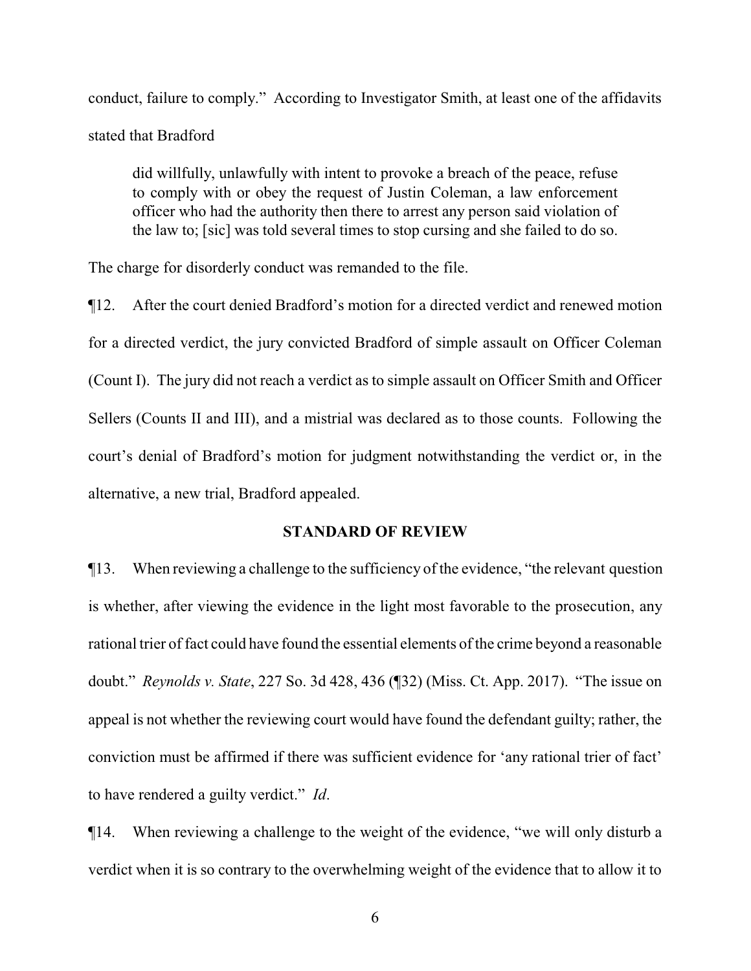conduct, failure to comply." According to Investigator Smith, at least one of the affidavits stated that Bradford

did willfully, unlawfully with intent to provoke a breach of the peace, refuse to comply with or obey the request of Justin Coleman, a law enforcement officer who had the authority then there to arrest any person said violation of the law to; [sic] was told several times to stop cursing and she failed to do so.

The charge for disorderly conduct was remanded to the file.

¶12. After the court denied Bradford's motion for a directed verdict and renewed motion for a directed verdict, the jury convicted Bradford of simple assault on Officer Coleman (Count I). The jury did not reach a verdict as to simple assault on Officer Smith and Officer Sellers (Counts II and III), and a mistrial was declared as to those counts. Following the court's denial of Bradford's motion for judgment notwithstanding the verdict or, in the alternative, a new trial, Bradford appealed.

### **STANDARD OF REVIEW**

¶13. When reviewing a challenge to the sufficiency of the evidence, "the relevant question is whether, after viewing the evidence in the light most favorable to the prosecution, any rational trier of fact could have found the essential elements of the crime beyond a reasonable doubt." *Reynolds v. State*, 227 So. 3d 428, 436 (¶32) (Miss. Ct. App. 2017). "The issue on appeal is not whether the reviewing court would have found the defendant guilty; rather, the conviction must be affirmed if there was sufficient evidence for 'any rational trier of fact' to have rendered a guilty verdict." *Id*.

¶14. When reviewing a challenge to the weight of the evidence, "we will only disturb a verdict when it is so contrary to the overwhelming weight of the evidence that to allow it to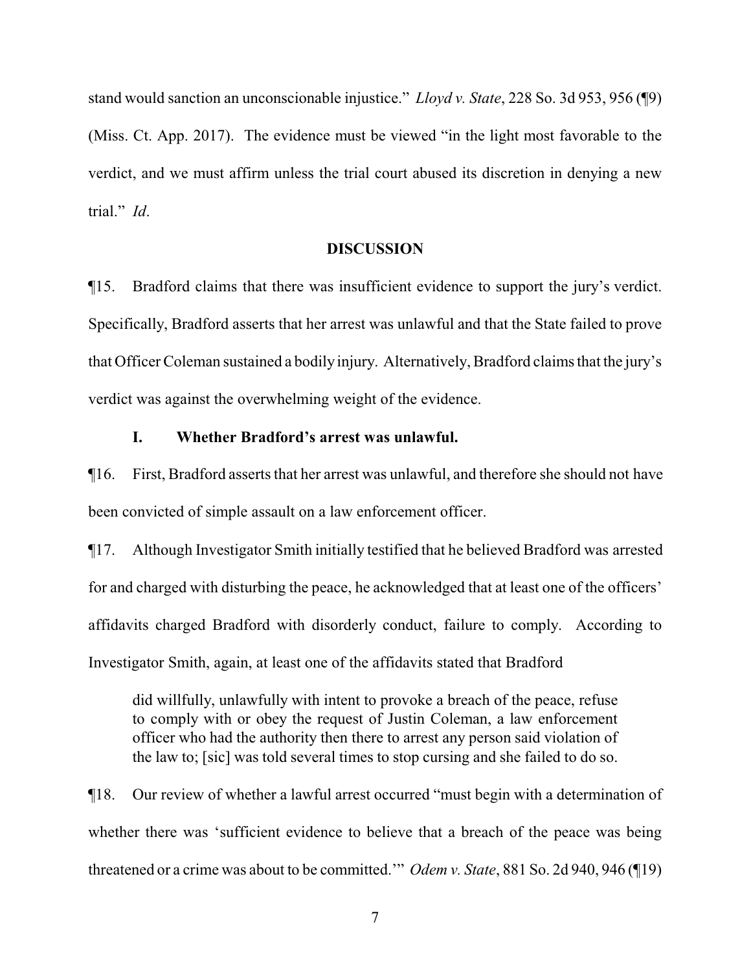stand would sanction an unconscionable injustice." *Lloyd v. State*, 228 So. 3d 953, 956 (¶9) (Miss. Ct. App. 2017). The evidence must be viewed "in the light most favorable to the verdict, and we must affirm unless the trial court abused its discretion in denying a new trial." *Id*.

#### **DISCUSSION**

¶15. Bradford claims that there was insufficient evidence to support the jury's verdict. Specifically, Bradford asserts that her arrest was unlawful and that the State failed to prove that Officer Coleman sustained a bodily injury. Alternatively, Bradford claims that the jury's verdict was against the overwhelming weight of the evidence.

### **I. Whether Bradford's arrest was unlawful.**

¶16. First, Bradford asserts that her arrest was unlawful, and therefore she should not have been convicted of simple assault on a law enforcement officer.

¶17. Although Investigator Smith initially testified that he believed Bradford was arrested for and charged with disturbing the peace, he acknowledged that at least one of the officers' affidavits charged Bradford with disorderly conduct, failure to comply. According to Investigator Smith, again, at least one of the affidavits stated that Bradford

did willfully, unlawfully with intent to provoke a breach of the peace, refuse to comply with or obey the request of Justin Coleman, a law enforcement officer who had the authority then there to arrest any person said violation of the law to; [sic] was told several times to stop cursing and she failed to do so.

¶18. Our review of whether a lawful arrest occurred "must begin with a determination of whether there was 'sufficient evidence to believe that a breach of the peace was being threatened or a crime was about to be committed.'" *Odem v. State*, 881 So. 2d 940, 946 (¶19)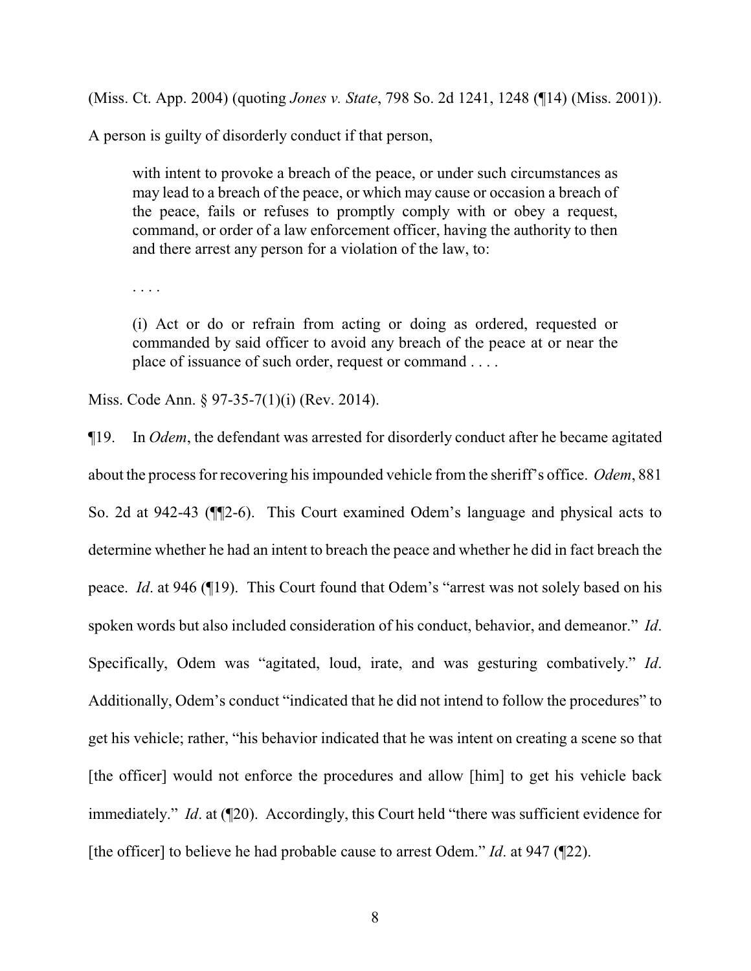(Miss. Ct. App. 2004) (quoting *Jones v. State*, 798 So. 2d 1241, 1248 (¶14) (Miss. 2001)).

A person is guilty of disorderly conduct if that person,

with intent to provoke a breach of the peace, or under such circumstances as may lead to a breach of the peace, or which may cause or occasion a breach of the peace, fails or refuses to promptly comply with or obey a request, command, or order of a law enforcement officer, having the authority to then and there arrest any person for a violation of the law, to:

. . . .

(i) Act or do or refrain from acting or doing as ordered, requested or commanded by said officer to avoid any breach of the peace at or near the place of issuance of such order, request or command . . . .

Miss. Code Ann. § 97-35-7(1)(i) (Rev. 2014).

¶19. In *Odem*, the defendant was arrested for disorderly conduct after he became agitated about the process for recovering his impounded vehicle from the sheriff's office. *Odem*, 881 So. 2d at 942-43 (¶¶2-6). This Court examined Odem's language and physical acts to determine whether he had an intent to breach the peace and whether he did in fact breach the peace. *Id*. at 946 (¶19). This Court found that Odem's "arrest was not solely based on his spoken words but also included consideration of his conduct, behavior, and demeanor." *Id*. Specifically, Odem was "agitated, loud, irate, and was gesturing combatively." *Id*. Additionally, Odem's conduct "indicated that he did not intend to follow the procedures" to get his vehicle; rather, "his behavior indicated that he was intent on creating a scene so that [the officer] would not enforce the procedures and allow [him] to get his vehicle back immediately." *Id.* at ([20). Accordingly, this Court held "there was sufficient evidence for [the officer] to believe he had probable cause to arrest Odem." *Id*. at 947 (¶22).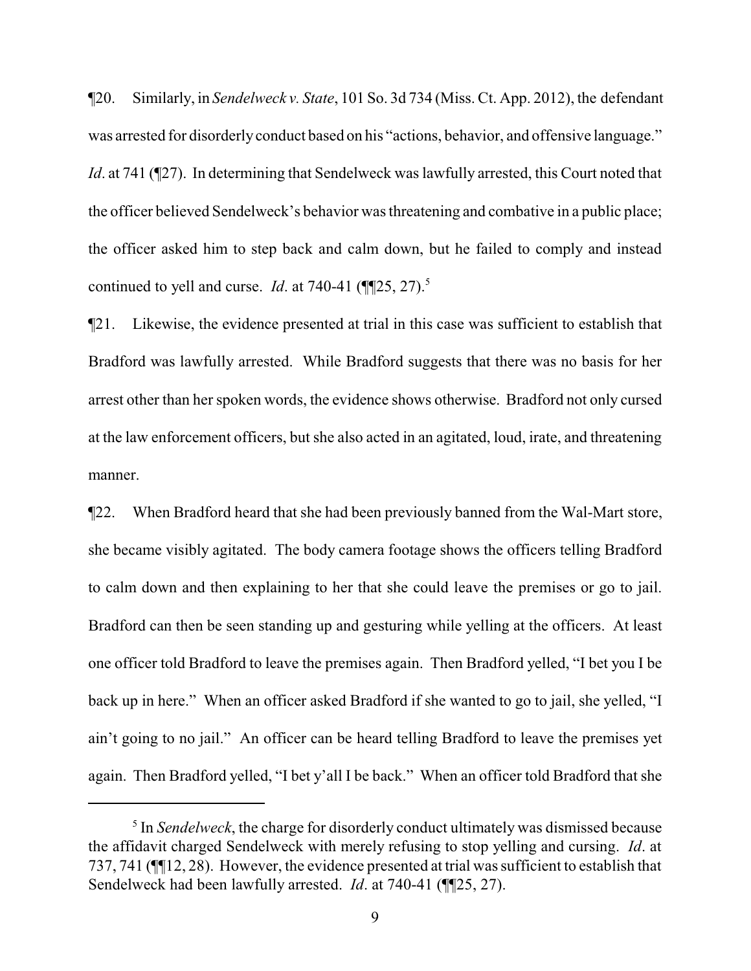¶20. Similarly, in *Sendelweck v. State*, 101 So. 3d 734 (Miss. Ct. App. 2012), the defendant was arrested for disorderly conduct based on his "actions, behavior, and offensive language." *Id.* at 741 (¶27). In determining that Sendelweck was lawfully arrested, this Court noted that the officer believed Sendelweck's behavior was threatening and combative in a public place; the officer asked him to step back and calm down, but he failed to comply and instead continued to yell and curse. *Id.* at 740-41  $(\P$ [25, 27).<sup>5</sup>

¶21. Likewise, the evidence presented at trial in this case was sufficient to establish that Bradford was lawfully arrested. While Bradford suggests that there was no basis for her arrest other than her spoken words, the evidence shows otherwise. Bradford not only cursed at the law enforcement officers, but she also acted in an agitated, loud, irate, and threatening manner.

¶22. When Bradford heard that she had been previously banned from the Wal-Mart store, she became visibly agitated. The body camera footage shows the officers telling Bradford to calm down and then explaining to her that she could leave the premises or go to jail. Bradford can then be seen standing up and gesturing while yelling at the officers. At least one officer told Bradford to leave the premises again. Then Bradford yelled, "I bet you I be back up in here." When an officer asked Bradford if she wanted to go to jail, she yelled, "I ain't going to no jail." An officer can be heard telling Bradford to leave the premises yet again. Then Bradford yelled, "I bet y'all I be back." When an officer told Bradford that she

<sup>&</sup>lt;sup>5</sup> In *Sendelweck*, the charge for disorderly conduct ultimately was dismissed because the affidavit charged Sendelweck with merely refusing to stop yelling and cursing. *Id*. at 737, 741 (¶¶12, 28). However, the evidence presented at trial was sufficient to establish that Sendelweck had been lawfully arrested. *Id*. at 740-41 (¶¶25, 27).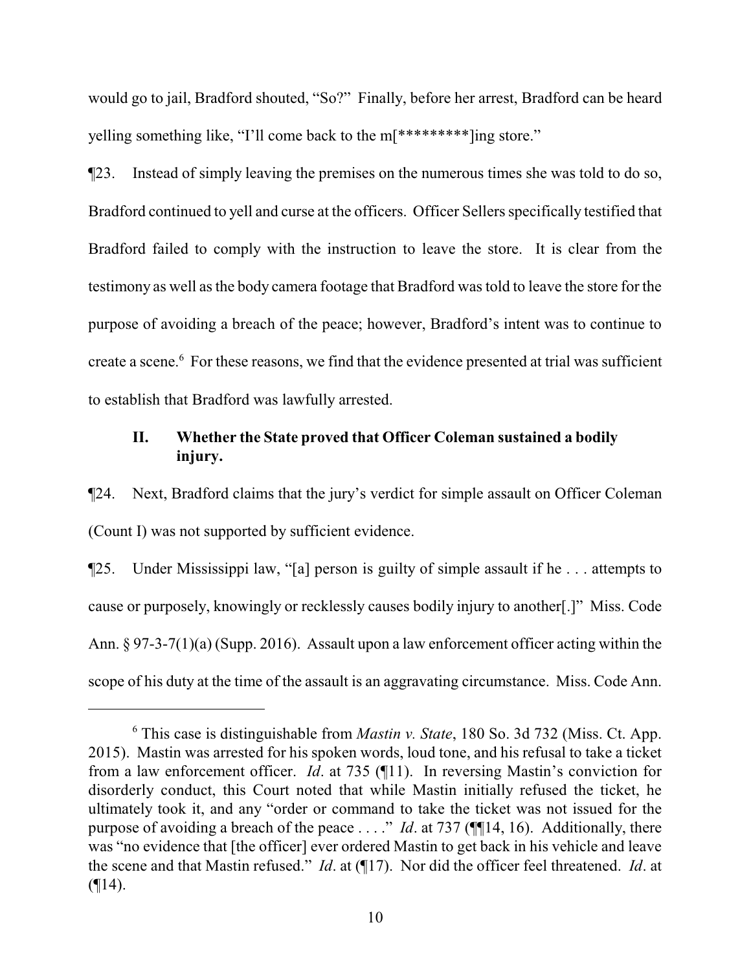would go to jail, Bradford shouted, "So?" Finally, before her arrest, Bradford can be heard yelling something like, "I'll come back to the m[\*\*\*\*\*\*\*\*\*]ing store."

¶23. Instead of simply leaving the premises on the numerous times she was told to do so, Bradford continued to yell and curse at the officers. Officer Sellers specifically testified that Bradford failed to comply with the instruction to leave the store. It is clear from the testimony as well as the body camera footage that Bradford was told to leave the store for the purpose of avoiding a breach of the peace; however, Bradford's intent was to continue to create a scene.<sup>6</sup> For these reasons, we find that the evidence presented at trial was sufficient to establish that Bradford was lawfully arrested.

# **II. Whether the State proved that Officer Coleman sustained a bodily injury.**

¶24. Next, Bradford claims that the jury's verdict for simple assault on Officer Coleman (Count I) was not supported by sufficient evidence.

¶25. Under Mississippi law, "[a] person is guilty of simple assault if he . . . attempts to cause or purposely, knowingly or recklessly causes bodily injury to another[.]" Miss. Code Ann. § 97-3-7(1)(a) (Supp. 2016). Assault upon a law enforcement officer acting within the scope of his duty at the time of the assault is an aggravating circumstance. Miss. Code Ann.

<sup>6</sup> This case is distinguishable from *Mastin v. State*, 180 So. 3d 732 (Miss. Ct. App. 2015). Mastin was arrested for his spoken words, loud tone, and his refusal to take a ticket from a law enforcement officer. *Id*. at 735 (¶11). In reversing Mastin's conviction for disorderly conduct, this Court noted that while Mastin initially refused the ticket, he ultimately took it, and any "order or command to take the ticket was not issued for the purpose of avoiding a breach of the peace . . . ." *Id*. at 737 (¶[14, 16). Additionally, there was "no evidence that [the officer] ever ordered Mastin to get back in his vehicle and leave the scene and that Mastin refused." *Id*. at (¶17). Nor did the officer feel threatened. *Id*. at  $($ [14).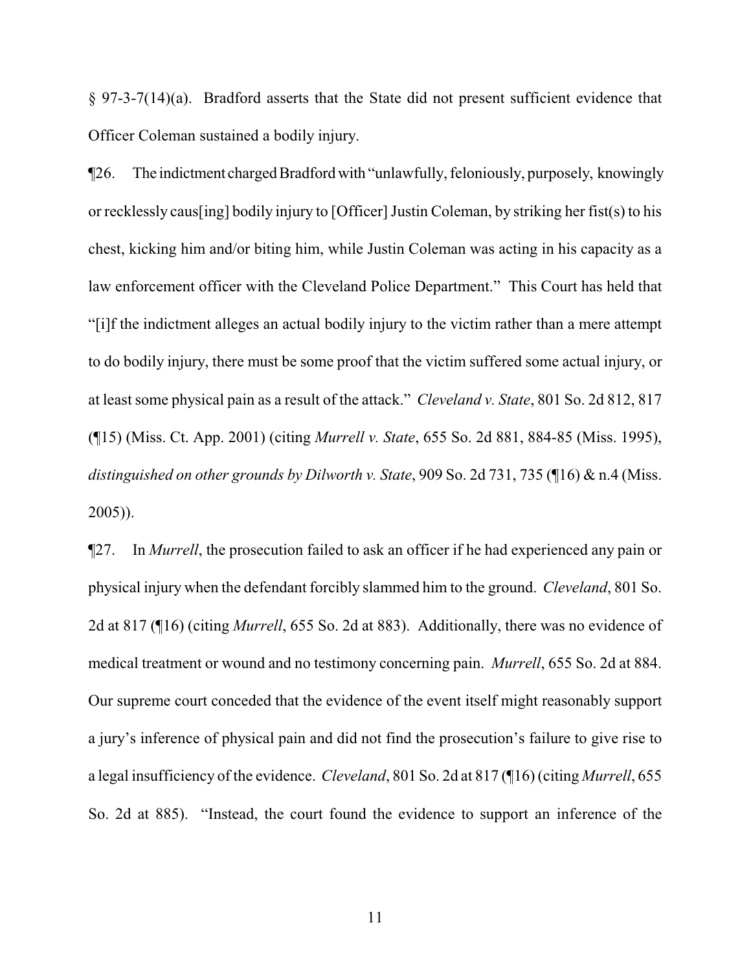§ 97-3-7(14)(a). Bradford asserts that the State did not present sufficient evidence that Officer Coleman sustained a bodily injury.

¶26. The indictment chargedBradfordwith "unlawfully, feloniously, purposely, knowingly or recklessly caus[ing] bodily injury to [Officer] Justin Coleman, by striking her fist(s) to his chest, kicking him and/or biting him, while Justin Coleman was acting in his capacity as a law enforcement officer with the Cleveland Police Department." This Court has held that "[i]f the indictment alleges an actual bodily injury to the victim rather than a mere attempt to do bodily injury, there must be some proof that the victim suffered some actual injury, or at least some physical pain as a result of the attack." *Cleveland v. State*, 801 So. 2d 812, 817 (¶15) (Miss. Ct. App. 2001) (citing *Murrell v. State*, 655 So. 2d 881, 884-85 (Miss. 1995), *distinguished on other grounds by Dilworth v. State*, 909 So. 2d 731, 735 (¶16) & n.4 (Miss. 2005)).

¶27. In *Murrell*, the prosecution failed to ask an officer if he had experienced any pain or physical injury when the defendant forcibly slammed him to the ground. *Cleveland*, 801 So. 2d at 817 (¶16) (citing *Murrell*, 655 So. 2d at 883). Additionally, there was no evidence of medical treatment or wound and no testimony concerning pain. *Murrell*, 655 So. 2d at 884. Our supreme court conceded that the evidence of the event itself might reasonably support a jury's inference of physical pain and did not find the prosecution's failure to give rise to a legal insufficiency of the evidence. *Cleveland*, 801 So. 2d at 817 (¶16) (citing *Murrell*, 655 So. 2d at 885). "Instead, the court found the evidence to support an inference of the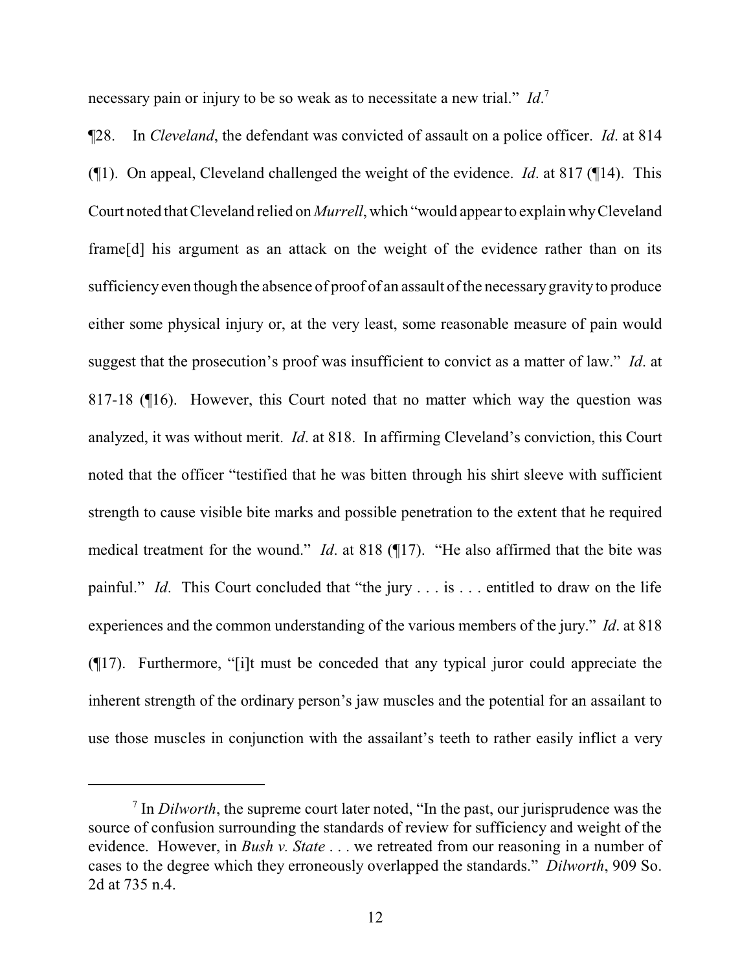necessary pain or injury to be so weak as to necessitate a new trial." *Id*. 7

¶28. In *Cleveland*, the defendant was convicted of assault on a police officer. *Id*. at 814 (¶1). On appeal, Cleveland challenged the weight of the evidence. *Id*. at 817 (¶14). This Court noted that Cleveland relied on *Murrell*, which "would appear to explain whyCleveland frame[d] his argument as an attack on the weight of the evidence rather than on its sufficiency even though the absence of proof of an assault of the necessary gravity to produce either some physical injury or, at the very least, some reasonable measure of pain would suggest that the prosecution's proof was insufficient to convict as a matter of law." *Id*. at 817-18 (¶16). However, this Court noted that no matter which way the question was analyzed, it was without merit. *Id*. at 818. In affirming Cleveland's conviction, this Court noted that the officer "testified that he was bitten through his shirt sleeve with sufficient strength to cause visible bite marks and possible penetration to the extent that he required medical treatment for the wound." *Id*. at 818 (¶17). "He also affirmed that the bite was painful." *Id*. This Court concluded that "the jury . . . is . . . entitled to draw on the life experiences and the common understanding of the various members of the jury." *Id*. at 818 (¶17). Furthermore, "[i]t must be conceded that any typical juror could appreciate the inherent strength of the ordinary person's jaw muscles and the potential for an assailant to use those muscles in conjunction with the assailant's teeth to rather easily inflict a very

<sup>7</sup> In *Dilworth*, the supreme court later noted, "In the past, our jurisprudence was the source of confusion surrounding the standards of review for sufficiency and weight of the evidence. However, in *Bush v. State* . . . we retreated from our reasoning in a number of cases to the degree which they erroneously overlapped the standards." *Dilworth*, 909 So. 2d at 735 n.4.